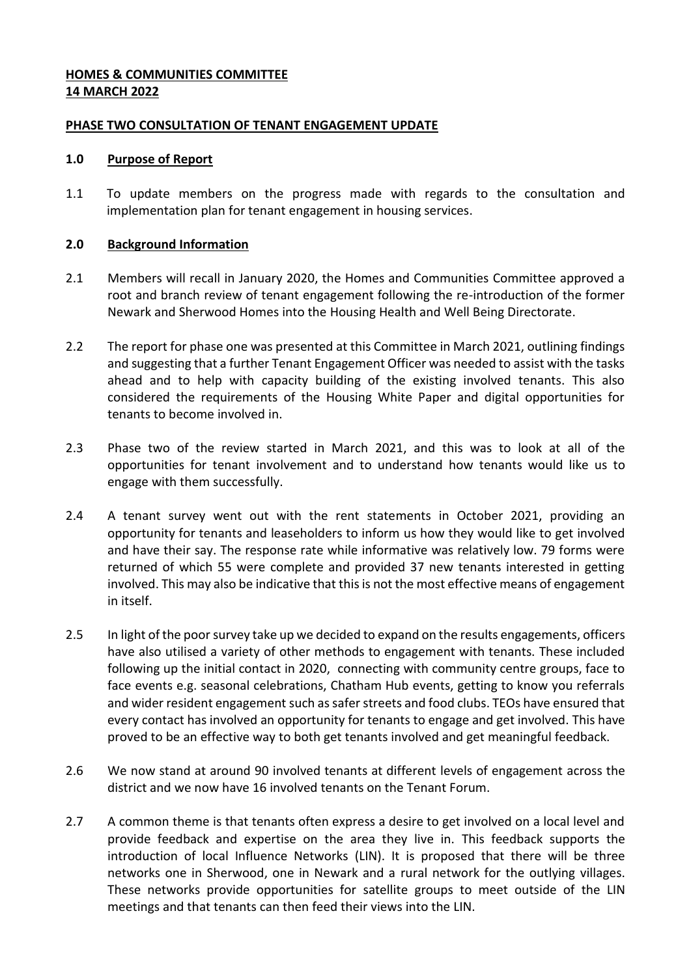## **HOMES & COMMUNITIES COMMITTEE 14 MARCH 2022**

### **PHASE TWO CONSULTATION OF TENANT ENGAGEMENT UPDATE**

### **1.0 Purpose of Report**

1.1 To update members on the progress made with regards to the consultation and implementation plan for tenant engagement in housing services.

# **2.0 Background Information**

- 2.1 Members will recall in January 2020, the Homes and Communities Committee approved a root and branch review of tenant engagement following the re-introduction of the former Newark and Sherwood Homes into the Housing Health and Well Being Directorate.
- 2.2 The report for phase one was presented at this Committee in March 2021, outlining findings and suggesting that a further Tenant Engagement Officer was needed to assist with the tasks ahead and to help with capacity building of the existing involved tenants. This also considered the requirements of the Housing White Paper and digital opportunities for tenants to become involved in.
- 2.3 Phase two of the review started in March 2021, and this was to look at all of the opportunities for tenant involvement and to understand how tenants would like us to engage with them successfully.
- 2.4 A tenant survey went out with the rent statements in October 2021, providing an opportunity for tenants and leaseholders to inform us how they would like to get involved and have their say. The response rate while informative was relatively low. 79 forms were returned of which 55 were complete and provided 37 new tenants interested in getting involved. This may also be indicative that this is not the most effective means of engagement in itself.
- 2.5 In light of the poor survey take up we decided to expand on the results engagements, officers have also utilised a variety of other methods to engagement with tenants. These included following up the initial contact in 2020, connecting with community centre groups, face to face events e.g. seasonal celebrations, Chatham Hub events, getting to know you referrals and wider resident engagement such as safer streets and food clubs. TEOs have ensured that every contact has involved an opportunity for tenants to engage and get involved. This have proved to be an effective way to both get tenants involved and get meaningful feedback.
- 2.6 We now stand at around 90 involved tenants at different levels of engagement across the district and we now have 16 involved tenants on the Tenant Forum.
- 2.7 A common theme is that tenants often express a desire to get involved on a local level and provide feedback and expertise on the area they live in. This feedback supports the introduction of local Influence Networks (LIN). It is proposed that there will be three networks one in Sherwood, one in Newark and a rural network for the outlying villages. These networks provide opportunities for satellite groups to meet outside of the LIN meetings and that tenants can then feed their views into the LIN.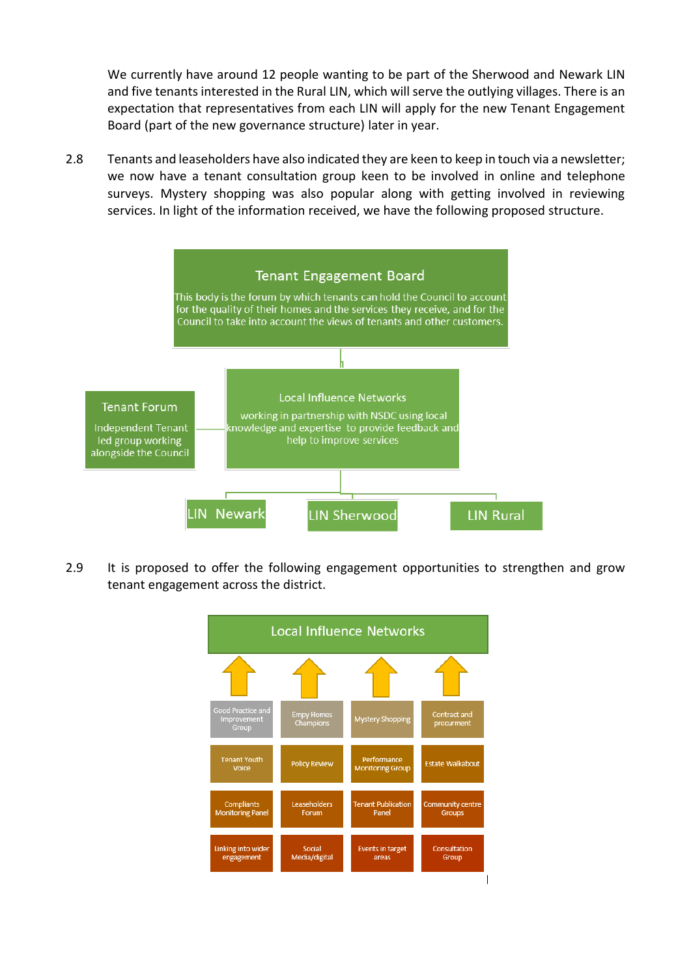We currently have around 12 people wanting to be part of the Sherwood and Newark LIN and five tenants interested in the Rural LIN, which will serve the outlying villages. There is an expectation that representatives from each LIN will apply for the new Tenant Engagement Board (part of the new governance structure) later in year.

2.8 Tenants and leaseholders have also indicated they are keen to keep in touch via a newsletter; we now have a tenant consultation group keen to be involved in online and telephone surveys. Mystery shopping was also popular along with getting involved in reviewing services. In light of the information received, we have the following proposed structure.



2.9 It is proposed to offer the following engagement opportunities to strengthen and grow tenant engagement across the district.

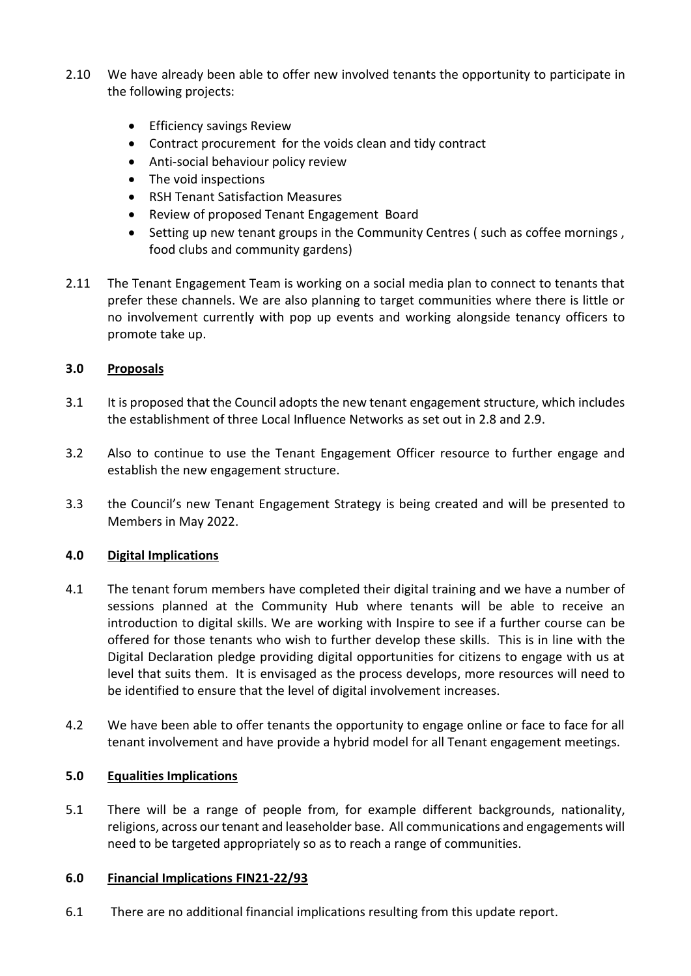- 2.10 We have already been able to offer new involved tenants the opportunity to participate in the following projects:
	- **•** Efficiency savings Review
	- Contract procurement for the voids clean and tidy contract
	- Anti-social behaviour policy review
	- The void inspections
	- RSH Tenant Satisfaction Measures
	- Review of proposed Tenant Engagement Board
	- Setting up new tenant groups in the Community Centres (such as coffee mornings, food clubs and community gardens)
- 2.11 The Tenant Engagement Team is working on a social media plan to connect to tenants that prefer these channels. We are also planning to target communities where there is little or no involvement currently with pop up events and working alongside tenancy officers to promote take up.

# **3.0 Proposals**

- 3.1 It is proposed that the Council adopts the new tenant engagement structure, which includes the establishment of three Local Influence Networks as set out in 2.8 and 2.9.
- 3.2 Also to continue to use the Tenant Engagement Officer resource to further engage and establish the new engagement structure.
- 3.3 the Council's new Tenant Engagement Strategy is being created and will be presented to Members in May 2022.

### **4.0 Digital Implications**

- 4.1 The tenant forum members have completed their digital training and we have a number of sessions planned at the Community Hub where tenants will be able to receive an introduction to digital skills. We are working with Inspire to see if a further course can be offered for those tenants who wish to further develop these skills. This is in line with the Digital Declaration pledge providing digital opportunities for citizens to engage with us at level that suits them. It is envisaged as the process develops, more resources will need to be identified to ensure that the level of digital involvement increases.
- 4.2 We have been able to offer tenants the opportunity to engage online or face to face for all tenant involvement and have provide a hybrid model for all Tenant engagement meetings.

### **5.0 Equalities Implications**

5.1 There will be a range of people from, for example different backgrounds, nationality, religions, across our tenant and leaseholder base. All communications and engagements will need to be targeted appropriately so as to reach a range of communities.

### **6.0 Financial Implications FIN21-22/93**

6.1 There are no additional financial implications resulting from this update report.